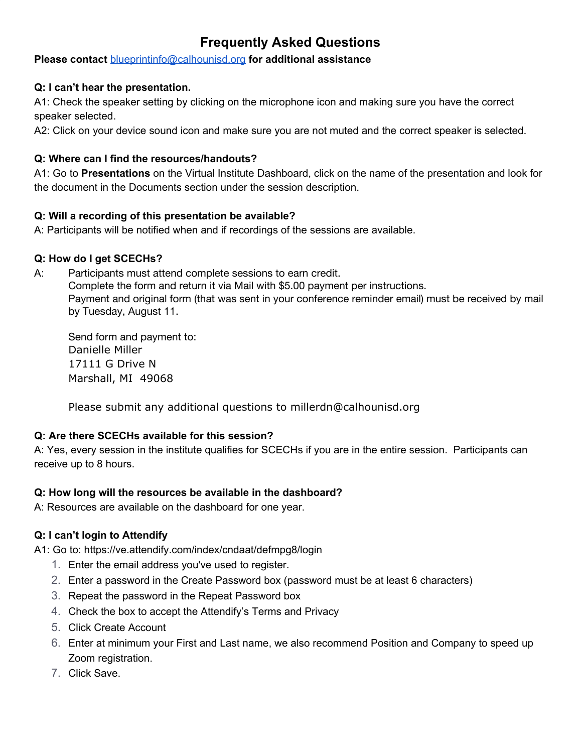# **Frequently Asked Questions**

# **Please contact** [blueprintinfo@calhounisd.org](mailto:blueprintinfo@calhounisd.org) **for additional assistance**

#### **Q: I can't hear the presentation.**

A1: Check the speaker setting by clicking on the microphone icon and making sure you have the correct speaker selected.

A2: Click on your device sound icon and make sure you are not muted and the correct speaker is selected.

## **Q: Where can I find the resources/handouts?**

A1: Go to **Presentations** on the Virtual Institute Dashboard, click on the name of the presentation and look for the document in the Documents section under the session description.

#### **Q: Will a recording of this presentation be available?**

A: Participants will be notified when and if recordings of the sessions are available.

#### **Q: How do I get SCECHs?**

A: Participants must attend complete sessions to earn credit.

Complete the form and return it via Mail with \$5.00 payment per instructions. Payment and original form (that was sent in your conference reminder email) must be received by mail by Tuesday, August 11.

Send form and payment to: Danielle Miller 17111 G Drive N Marshall, MI 49068

Please submit any additional questions to millerdn@calhounisd.org

# **Q: Are there SCECHs available for this session?**

A: Yes, every session in the institute qualifies for SCECHs if you are in the entire session. Participants can receive up to 8 hours.

# **Q: How long will the resources be available in the dashboard?**

A: Resources are available on the dashboard for one year.

# **Q: I can't login to Attendify**

A1: Go to: <https://ve.attendify.com/index/cndaat/defmpg8/login>

- 1. Enter the email address you've used to register.
- 2. Enter a password in the Create Password box (password must be at least 6 characters)
- 3. Repeat the password in the Repeat Password box
- 4. Check the box to accept the Attendify's Terms and Privacy
- 5. Click Create Account
- 6. Enter at minimum your First and Last name, we also recommend Position and Company to speed up Zoom registration.
- 7. Click Save.